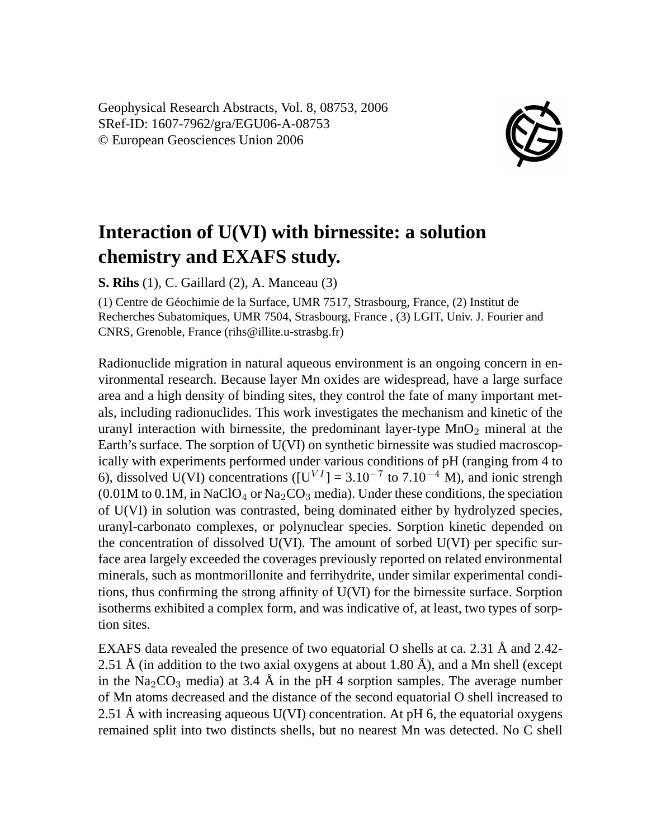Geophysical Research Abstracts, Vol. 8, 08753, 2006 SRef-ID: 1607-7962/gra/EGU06-A-08753 © European Geosciences Union 2006



## **Interaction of U(VI) with birnessite: a solution chemistry and EXAFS study.**

**S. Rihs** (1), C. Gaillard (2), A. Manceau (3)

(1) Centre de Géochimie de la Surface, UMR 7517, Strasbourg, France, (2) Institut de Recherches Subatomiques, UMR 7504, Strasbourg, France , (3) LGIT, Univ. J. Fourier and CNRS, Grenoble, France (rihs@illite.u-strasbg.fr)

Radionuclide migration in natural aqueous environment is an ongoing concern in environmental research. Because layer Mn oxides are widespread, have a large surface area and a high density of binding sites, they control the fate of many important metals, including radionuclides. This work investigates the mechanism and kinetic of the uranyl interaction with birnessite, the predominant layer-type  $MnO<sub>2</sub>$  mineral at the Earth's surface. The sorption of U(VI) on synthetic birnessite was studied macroscopically with experiments performed under various conditions of pH (ranging from 4 to 6), dissolved U(VI) concentrations ( $[U<sup>VI</sup>] = 3.10<sup>-7</sup>$  to 7.10<sup>-4</sup> M), and ionic strengh  $(0.01M$  to  $0.1M$ , in NaClO<sub>4</sub> or Na<sub>2</sub>CO<sub>3</sub> media). Under these conditions, the speciation of U(VI) in solution was contrasted, being dominated either by hydrolyzed species, uranyl-carbonato complexes, or polynuclear species. Sorption kinetic depended on the concentration of dissolved  $U(VI)$ . The amount of sorbed  $U(VI)$  per specific surface area largely exceeded the coverages previously reported on related environmental minerals, such as montmorillonite and ferrihydrite, under similar experimental conditions, thus confirming the strong affinity of U(VI) for the birnessite surface. Sorption isotherms exhibited a complex form, and was indicative of, at least, two types of sorption sites.

EXAFS data revealed the presence of two equatorial O shells at ca. 2.31 Å and 2.42- 2.51 Å (in addition to the two axial oxygens at about 1.80 Å), and a Mn shell (except in the Na<sub>2</sub>CO<sub>3</sub> media) at 3.4 Å in the pH 4 sorption samples. The average number of Mn atoms decreased and the distance of the second equatorial O shell increased to 2.51 Å with increasing aqueous  $U(VI)$  concentration. At pH 6, the equatorial oxygens remained split into two distincts shells, but no nearest Mn was detected. No C shell